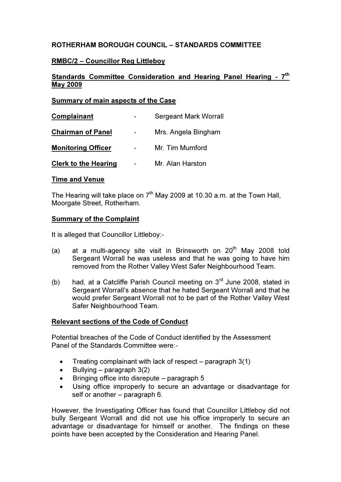# ROTHERHAM BOROUGH COUNCIL – STANDARDS COMMITTEE

## RMBC/2 – Councillor Reg Littleboy

# Standards Committee Consideration and Hearing Panel Hearing - 7<sup>th</sup> May 2009

### Summary of main aspects of the Case

| Complainant                 | <b>Sergeant Mark Worrall</b> |
|-----------------------------|------------------------------|
| <b>Chairman of Panel</b>    | Mrs. Angela Bingham          |
| <b>Monitoring Officer</b>   | Mr. Tim Mumford              |
| <b>Clerk to the Hearing</b> | Mr. Alan Harston             |

### Time and Venue

The Hearing will take place on  $7<sup>th</sup>$  May 2009 at 10.30 a.m. at the Town Hall, Moorgate Street, Rotherham.

### Summary of the Complaint

It is alleged that Councillor Littleboy:-

- (a) at a multi-agency site visit in Brinsworth on  $20<sup>th</sup>$  May 2008 told Sergeant Worrall he was useless and that he was going to have him removed from the Rother Valley West Safer Neighbourhood Team.
- (b) had, at a Catcliffe Parish Council meeting on  $3<sup>rd</sup>$  June 2008, stated in Sergeant Worrall's absence that he hated Sergeant Worrall and that he would prefer Sergeant Worrall not to be part of the Rother Valley West Safer Neighbourhood Team.

### Relevant sections of the Code of Conduct

Potential breaches of the Code of Conduct identified by the Assessment Panel of the Standards Committee were:-

- Treating complainant with lack of respect paragraph  $3(1)$
- Bullying paragraph  $3(2)$
- Bringing office into disrepute paragraph 5
- Using office improperly to secure an advantage or disadvantage for self or another – paragraph 6.

However, the Investigating Officer has found that Councillor Littleboy did not bully Sergeant Worrall and did not use his office improperly to secure an advantage or disadvantage for himself or another. The findings on these points have been accepted by the Consideration and Hearing Panel.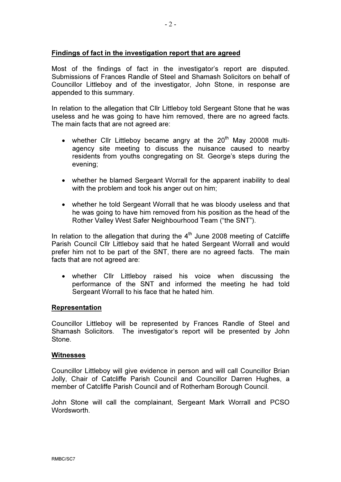Most of the findings of fact in the investigator's report are disputed. Submissions of Frances Randle of Steel and Shamash Solicitors on behalf of Councillor Littleboy and of the investigator, John Stone, in response are appended to this summary.

In relation to the allegation that Cllr Littleboy told Sergeant Stone that he was useless and he was going to have him removed, there are no agreed facts. The main facts that are not agreed are:

- whether Cllr Littleboy became angry at the  $20<sup>th</sup>$  May 20008 multiagency site meeting to discuss the nuisance caused to nearby residents from youths congregating on St. George's steps during the evening;
- whether he blamed Sergeant Worrall for the apparent inability to deal with the problem and took his anger out on him;
- whether he told Sergeant Worrall that he was bloody useless and that he was going to have him removed from his position as the head of the Rother Valley West Safer Neighbourhood Team ("the SNT").

In relation to the allegation that during the  $4<sup>th</sup>$  June 2008 meeting of Catcliffe Parish Council Cllr Littleboy said that he hated Sergeant Worrall and would prefer him not to be part of the SNT, there are no agreed facts. The main facts that are not agreed are:

• whether Cllr Littleboy raised his voice when discussing the performance of the SNT and informed the meeting he had told Sergeant Worrall to his face that he hated him.

#### Representation

Councillor Littleboy will be represented by Frances Randle of Steel and Shamash Solicitors. The investigator's report will be presented by John **Stone** 

#### **Witnesses**

Councillor Littleboy will give evidence in person and will call Councillor Brian Jolly, Chair of Catcliffe Parish Council and Councillor Darren Hughes, a member of Catcliffe Parish Council and of Rotherham Borough Council.

John Stone will call the complainant, Sergeant Mark Worrall and PCSO Wordsworth.